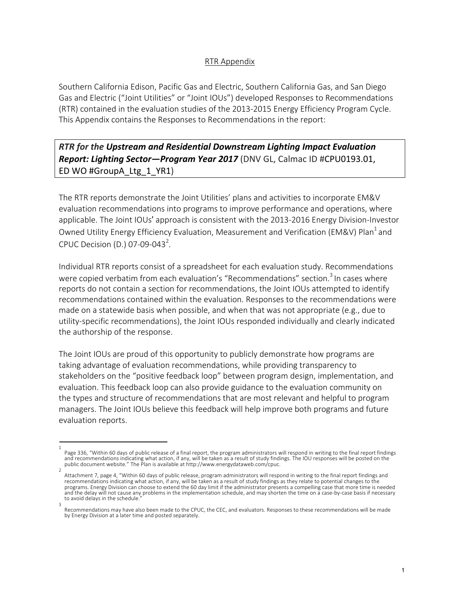## RTR Appendix

Southern California Edison, Pacific Gas and Electric, Southern California Gas, and San Diego Gas and Electric ("Joint Utilities" or "Joint IOUs") developed Responses to Recommendations (RTR) contained in the evaluation studies of the 2013-2015 Energy Efficiency Program Cycle. This Appendix contains the Responses to Recommendations in the report:

## *RTR for the Upstream and Residential Downstream Lighting Impact Evaluation Report: Lighting Sector—Program Year 2017* (DNV GL, Calmac ID #CPU0193.01, ED WO #GroupA\_Ltg\_1\_YR1)

The RTR reports demonstrate the Joint Utilities' plans and activities to incorporate EM&V evaluation recommendations into programs to improve performance and operations, where applicable. The Joint IOUs' approach is consistent with the 2013-2016 Energy Division-Investor Owned Utility Energy Efficiency Evaluation, Measurement and Verification (EM&V) Plan<sup>1</sup> and CPUC Decision (D.) 07-09-043<sup>2</sup>.

Individual RTR reports consist of a spreadsheet for each evaluation study. Recommendations were copied verbatim from each evaluation's "Recommendations" section.<sup>3</sup> In cases where reports do not contain a section for recommendations, the Joint IOUs attempted to identify recommendations contained within the evaluation. Responses to the recommendations were made on a statewide basis when possible, and when that was not appropriate (e.g., due to utility-specific recommendations), the Joint IOUs responded individually and clearly indicated the authorship of the response.

The Joint IOUs are proud of this opportunity to publicly demonstrate how programs are taking advantage of evaluation recommendations, while providing transparency to stakeholders on the "positive feedback loop" between program design, implementation, and evaluation. This feedback loop can also provide guidance to the evaluation community on the types and structure of recommendations that are most relevant and helpful to program managers. The Joint IOUs believe this feedback will help improve both programs and future evaluation reports.

<sup>1</sup>  Page 336, "Within 60 days of public release of a final report, the program administrators will respond in writing to the final report findings and recommendations indicating what action, if any, will be taken as a result of study findings. The IOU responses will be posted on the<br>public document website." The Plan is available at http://www.energydataweb.com/cpuc.

Attachment 7, page 4, "Within 60 days of public release, program administrators will respond in writing to the final report findings and recommendations indicating what action, if any, will be taken as a result of study findings as they relate to potential changes to the programs. Energy Division can choose to extend the 60 day limit if the administrator presents a compelling case that more time is needed and the delay will not cause any problems in the implementation schedule, and may shorten the time on a case-by-case basis if necessary to avoid delays in the schedule.

<sup>3</sup>  Recommendations may have also been made to the CPUC, the CEC, and evaluators. Responses to these recommendations will be made by Energy Division at a later time and posted separately.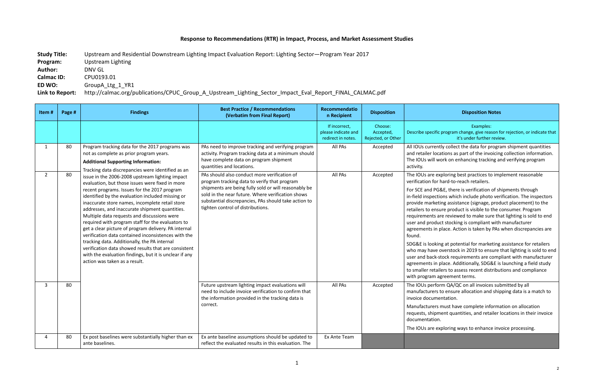## **Response to Recommendations (RTR) in Impact, Process, and Market Assessment Studies**

**Study Title:** Upstream and Residential Downstream Lighting Impact Evaluation Report: Lighting Sector—Program Year 2017 **Program:** Upstream Lighting **Author:** DNV GL **Calmac ID:** CPU0193.01 **ED WO:** GroupA\_Ltg\_1\_YR1 **Link to Report:** http://calmac.org/publications/CPUC\_Group\_A\_Upstream\_Lighting\_Sector\_Impact\_Eval\_Report\_FINAL\_CALMAC.pdf

## **n Recipient Disposition Disposition Notes**

Examples: c program change, give reason for rejection, or indicate that it's under further review.

ntly collect the data for program shipment quantities cations as part of the invoicing collection information. work on enhancing tracking and verifying program

exploring best practices to implement reasonable hard-to-reach retailers.

G&E, there is verification of shipments through tions which include photo verification. The inspectors eting assistance (signage, product placement) to the sure product is visible to the consumer. Program are reviewed to make sure that lighting is sold to end uct stocking is compliant with manufacturer place. Action is taken by PAs when discrepancies are

ing at potential for marketing assistance for retailers overstock in 2019 to ensure that lighting is sold to end -stock requirements are compliant with manufacturer place. Additionally, SDG&E is launching a field study ailers to assess recent distributions and compliance agreement terms.

orm QA/QC on all invoices submitted by all to ensure allocation and shipping data is a match to entation.

must have complete information on allocation ment quantities, and retailer locations in their invoice n.

exploring ways to enhance invoice processing.

| Item#          | Page # | <b>Findings</b>                                                                                                                                                                                                                                                                                                                                                                                                                                                                                                                                                                                                                                                                                                                                                                                                                                                                                                                   | <b>Best Practice / Recommendations</b><br>(Verbatim from Final Report)                                                                                                                                                                                                                                 | Recommendatio<br>n Recipient                               | <b>Disposition</b>                         |                                                                                                                                                                                                                                                                                        |
|----------------|--------|-----------------------------------------------------------------------------------------------------------------------------------------------------------------------------------------------------------------------------------------------------------------------------------------------------------------------------------------------------------------------------------------------------------------------------------------------------------------------------------------------------------------------------------------------------------------------------------------------------------------------------------------------------------------------------------------------------------------------------------------------------------------------------------------------------------------------------------------------------------------------------------------------------------------------------------|--------------------------------------------------------------------------------------------------------------------------------------------------------------------------------------------------------------------------------------------------------------------------------------------------------|------------------------------------------------------------|--------------------------------------------|----------------------------------------------------------------------------------------------------------------------------------------------------------------------------------------------------------------------------------------------------------------------------------------|
|                |        |                                                                                                                                                                                                                                                                                                                                                                                                                                                                                                                                                                                                                                                                                                                                                                                                                                                                                                                                   |                                                                                                                                                                                                                                                                                                        | If incorrect,<br>please indicate and<br>redirect in notes. | Choose:<br>Accepted,<br>Rejected, or Other | Describe specifi                                                                                                                                                                                                                                                                       |
| $\mathbf{1}$   | 80     | Program tracking data for the 2017 programs was<br>not as complete as prior program years.<br><b>Additional Supporting Information:</b><br>Tracking data discrepancies were identified as an<br>issue in the 2006-2008 upstream lighting impact<br>evaluation, but those issues were fixed in more<br>recent programs. Issues for the 2017 program<br>identified by the evaluation included missing or<br>inaccurate store names, incomplete retail store<br>addresses, and inaccurate shipment quantities.<br>Multiple data requests and discussions were<br>required with program staff for the evaluators to<br>get a clear picture of program delivery. PA internal<br>verification data contained inconsistences with the<br>tracking data. Additionally, the PA internal<br>verification data showed results that are consistent<br>with the evaluation findings, but it is unclear if any<br>action was taken as a result. | PAs need to improve tracking and verifying program<br>activity. Program tracking data at a minimum should<br>have complete data on program shipment<br>quantities and locations.                                                                                                                       | All PAs                                                    | Accepted                                   | All IOUs currer<br>and retailer loo<br>The IOUs will v<br>activity.                                                                                                                                                                                                                    |
| $\overline{2}$ | 80     |                                                                                                                                                                                                                                                                                                                                                                                                                                                                                                                                                                                                                                                                                                                                                                                                                                                                                                                                   | PAs should also conduct more verification of<br>program tracking data to verify that program<br>shipments are being fully sold or will reasonably be<br>sold in the near future. Where verification shows<br>substantial discrepancies, PAs should take action to<br>tighten control of distributions. | All PAs                                                    | Accepted                                   | The IOUs are e<br>verification for<br>For SCE and PC<br>in-field inspect<br>provide marke<br>retailers to ens<br>requirements a<br>user and produ<br>agreements in<br>found.<br>SDG&E is looki<br>who may have<br>user and back-<br>agreements in<br>to smaller reta<br>with program a |
| 3              | 80     |                                                                                                                                                                                                                                                                                                                                                                                                                                                                                                                                                                                                                                                                                                                                                                                                                                                                                                                                   | Future upstream lighting impact evaluations will<br>need to include invoice verification to confirm that<br>the information provided in the tracking data is<br>correct.                                                                                                                               | All PAs                                                    | Accepted                                   | The IOUs perfo<br>manufacturers<br>invoice docum<br>Manufacturers<br>requests, shipr<br>documentation<br>The IOUs are e                                                                                                                                                                |
| 4              | 80     | Ex post baselines were substantially higher than ex<br>ante baselines.                                                                                                                                                                                                                                                                                                                                                                                                                                                                                                                                                                                                                                                                                                                                                                                                                                                            | Ex ante baseline assumptions should be updated to<br>reflect the evaluated results in this evaluation. The                                                                                                                                                                                             | Ex Ante Team                                               |                                            |                                                                                                                                                                                                                                                                                        |